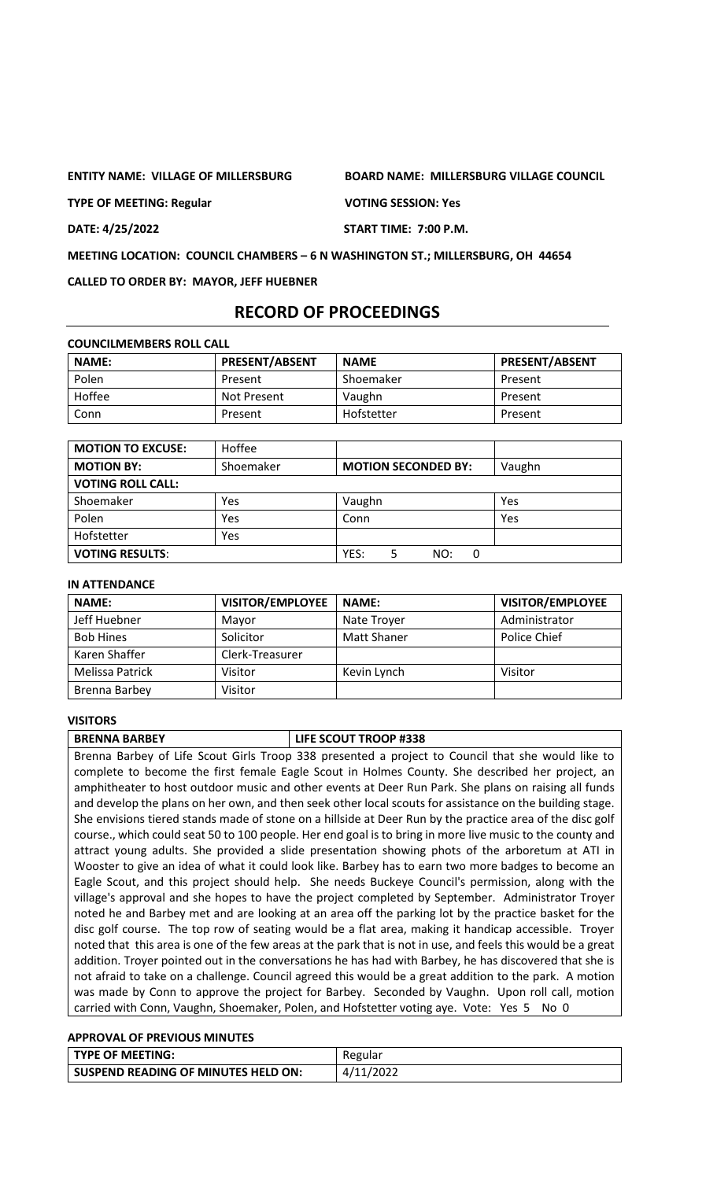**ENTITY NAME: VILLAGE OF MILLERSBURG BOARD NAME: MILLERSBURG VILLAGE COUNCIL**

**TYPE OF MEETING: Regular VOTING SESSION: Yes**

**DATE: 4/25/2022 START TIME: 7:00 P.M.**

**MEETING LOCATION: COUNCIL CHAMBERS – 6 N WASHINGTON ST.; MILLERSBURG, OH 44654**

**CALLED TO ORDER BY: MAYOR, JEFF HUEBNER**

# **RECORD OF PROCEEDINGS**

| <b>COUNCILMEMBERS ROLL CALL</b> |                       |             |                       |  |  |  |
|---------------------------------|-----------------------|-------------|-----------------------|--|--|--|
| <b>NAME:</b>                    | <b>PRESENT/ABSENT</b> | <b>NAME</b> | <b>PRESENT/ABSENT</b> |  |  |  |
| Polen                           | Present               | Shoemaker   | Present               |  |  |  |
| Hoffee                          | Not Present           | Vaughn      | Present               |  |  |  |
| Conn                            | Present               | Hofstetter  | Present               |  |  |  |

| <b>MOTION TO EXCUSE:</b> | Hoffee    |                            |        |
|--------------------------|-----------|----------------------------|--------|
| <b>MOTION BY:</b>        | Shoemaker | <b>MOTION SECONDED BY:</b> | Vaughn |
| <b>VOTING ROLL CALL:</b> |           |                            |        |
| Shoemaker                | Yes       | Vaughn                     | Yes    |
| Polen                    | Yes       | Conn                       | Yes    |
| Hofstetter               | Yes       |                            |        |
| <b>VOTING RESULTS:</b>   |           | YES:<br>NO:<br>0           |        |

#### **IN ATTENDANCE**

| <b>NAME:</b>     | <b>VISITOR/EMPLOYEE</b> | <b>NAME:</b> | <b>VISITOR/EMPLOYEE</b> |
|------------------|-------------------------|--------------|-------------------------|
| Jeff Huebner     | Mayor                   | Nate Trover  | Administrator           |
| <b>Bob Hines</b> | Solicitor               | Matt Shaner  | Police Chief            |
| Karen Shaffer    | Clerk-Treasurer         |              |                         |
| Melissa Patrick  | Visitor                 | Kevin Lynch  | Visitor                 |
| Brenna Barbey    | Visitor                 |              |                         |

#### **VISITORS**

**BRENNA BARBEY LIFE SCOUT TROOP #338** Brenna Barbey of Life Scout Girls Troop 338 presented a project to Council that she would like to complete to become the first female Eagle Scout in Holmes County. She described her project, an amphitheater to host outdoor music and other events at Deer Run Park. She plans on raising all funds and develop the plans on her own, and then seek other local scouts for assistance on the building stage. She envisions tiered stands made of stone on a hillside at Deer Run by the practice area of the disc golf course., which could seat 50 to 100 people. Her end goal is to bring in more live music to the county and attract young adults. She provided a slide presentation showing phots of the arboretum at ATI in Wooster to give an idea of what it could look like. Barbey has to earn two more badges to become an Eagle Scout, and this project should help. She needs Buckeye Council's permission, along with the village's approval and she hopes to have the project completed by September. Administrator Troyer noted he and Barbey met and are looking at an area off the parking lot by the practice basket for the disc golf course. The top row of seating would be a flat area, making it handicap accessible. Troyer noted that this area is one of the few areas at the park that is not in use, and feels this would be a great addition. Troyer pointed out in the conversations he has had with Barbey, he has discovered that she is not afraid to take on a challenge. Council agreed this would be a great addition to the park. A motion was made by Conn to approve the project for Barbey. Seconded by Vaughn. Upon roll call, motion carried with Conn, Vaughn, Shoemaker, Polen, and Hofstetter voting aye. Vote: Yes 5 No 0

### **APPROVAL OF PREVIOUS MINUTES**

| l TYPE OF MEETING:                  | Regular   |
|-------------------------------------|-----------|
| SUSPEND READING OF MINUTES HELD ON: | 4/11/2022 |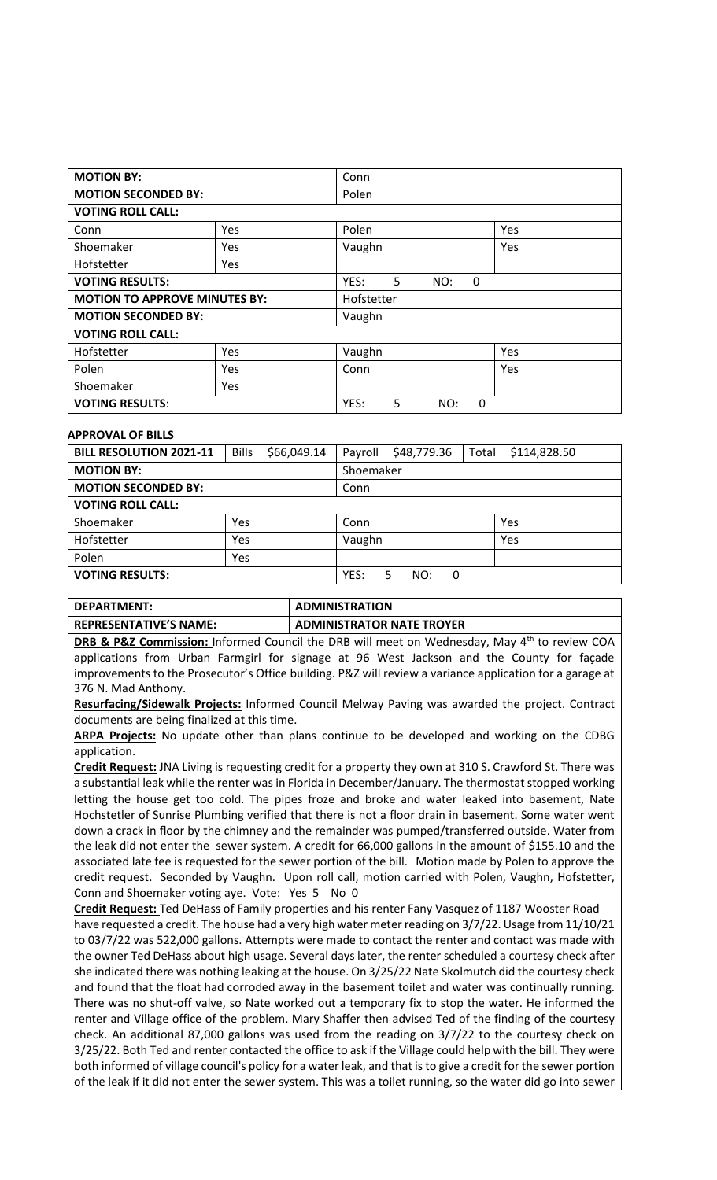| <b>MOTION BY:</b>          |                                                    | Conn                         |     |  |
|----------------------------|----------------------------------------------------|------------------------------|-----|--|
| <b>MOTION SECONDED BY:</b> |                                                    | Polen                        |     |  |
| <b>VOTING ROLL CALL:</b>   |                                                    |                              |     |  |
| Conn                       | Yes                                                | Polen                        | Yes |  |
| Shoemaker                  | Yes                                                | Vaughn                       | Yes |  |
| Hofstetter                 | Yes                                                |                              |     |  |
| <b>VOTING RESULTS:</b>     |                                                    | YES:<br>5<br>NO:<br>0        |     |  |
|                            | <b>MOTION TO APPROVE MINUTES BY:</b><br>Hofstetter |                              |     |  |
| <b>MOTION SECONDED BY:</b> | Vaughn                                             |                              |     |  |
| <b>VOTING ROLL CALL:</b>   |                                                    |                              |     |  |
| Hofstetter                 | <b>Yes</b>                                         | Vaughn                       | Yes |  |
| Polen                      | Yes                                                | Conn                         | Yes |  |
| Shoemaker                  | Yes                                                |                              |     |  |
| <b>VOTING RESULTS:</b>     |                                                    | YES:<br>5<br>NO:<br>$\Omega$ |     |  |

#### **APPROVAL OF BILLS**

| <b>BILL RESOLUTION 2021-11</b> | <b>Bills</b> | \$66,049.14 | Payroll       | \$48,779.36 | Total | \$114,828.50 |
|--------------------------------|--------------|-------------|---------------|-------------|-------|--------------|
| <b>MOTION BY:</b>              |              |             | Shoemaker     |             |       |              |
| <b>MOTION SECONDED BY:</b>     |              |             | Conn          |             |       |              |
| <b>VOTING ROLL CALL:</b>       |              |             |               |             |       |              |
| Shoemaker                      | Yes          |             | Conn          |             |       | Yes          |
| Hofstetter                     | Yes          |             | Vaughn        |             |       | Yes          |
| Polen                          | <b>Yes</b>   |             |               |             |       |              |
| <b>VOTING RESULTS:</b>         |              | YES:        | NO:<br>0<br>5 |             |       |              |

| DEPARTMENT:                   | <b>ADMINISTRATION</b>            |
|-------------------------------|----------------------------------|
| <b>REPRESENTATIVE'S NAME:</b> | <b>ADMINISTRATOR NATE TROYER</b> |

**DRB & P&Z Commission:** Informed Council the DRB will meet on Wednesday, May 4<sup>th</sup> to review COA applications from Urban Farmgirl for signage at 96 West Jackson and the County for façade improvements to the Prosecutor's Office building. P&Z will review a variance application for a garage at 376 N. Mad Anthony.

**Resurfacing/Sidewalk Projects:** Informed Council Melway Paving was awarded the project. Contract documents are being finalized at this time.

**ARPA Projects:** No update other than plans continue to be developed and working on the CDBG application.

**Credit Request:** JNA Living is requesting credit for a property they own at 310 S. Crawford St. There was a substantial leak while the renter was in Florida in December/January. The thermostat stopped working letting the house get too cold. The pipes froze and broke and water leaked into basement, Nate Hochstetler of Sunrise Plumbing verified that there is not a floor drain in basement. Some water went down a crack in floor by the chimney and the remainder was pumped/transferred outside. Water from the leak did not enter the sewer system. A credit for 66,000 gallons in the amount of \$155.10 and the associated late fee is requested for the sewer portion of the bill. Motion made by Polen to approve the credit request. Seconded by Vaughn. Upon roll call, motion carried with Polen, Vaughn, Hofstetter, Conn and Shoemaker voting aye. Vote: Yes 5 No 0

**Credit Request:** Ted DeHass of Family properties and his renter Fany Vasquez of 1187 Wooster Road have requested a credit. The house had a very high water meter reading on 3/7/22. Usage from 11/10/21 to 03/7/22 was 522,000 gallons. Attempts were made to contact the renter and contact was made with the owner Ted DeHass about high usage. Several days later, the renter scheduled a courtesy check after she indicated there was nothing leaking at the house. On 3/25/22 Nate Skolmutch did the courtesy check and found that the float had corroded away in the basement toilet and water was continually running. There was no shut-off valve, so Nate worked out a temporary fix to stop the water. He informed the renter and Village office of the problem. Mary Shaffer then advised Ted of the finding of the courtesy check. An additional 87,000 gallons was used from the reading on 3/7/22 to the courtesy check on 3/25/22. Both Ted and renter contacted the office to ask if the Village could help with the bill. They were both informed of village council's policy for a water leak, and that is to give a credit for the sewer portion of the leak if it did not enter the sewer system. This was a toilet running, so the water did go into sewer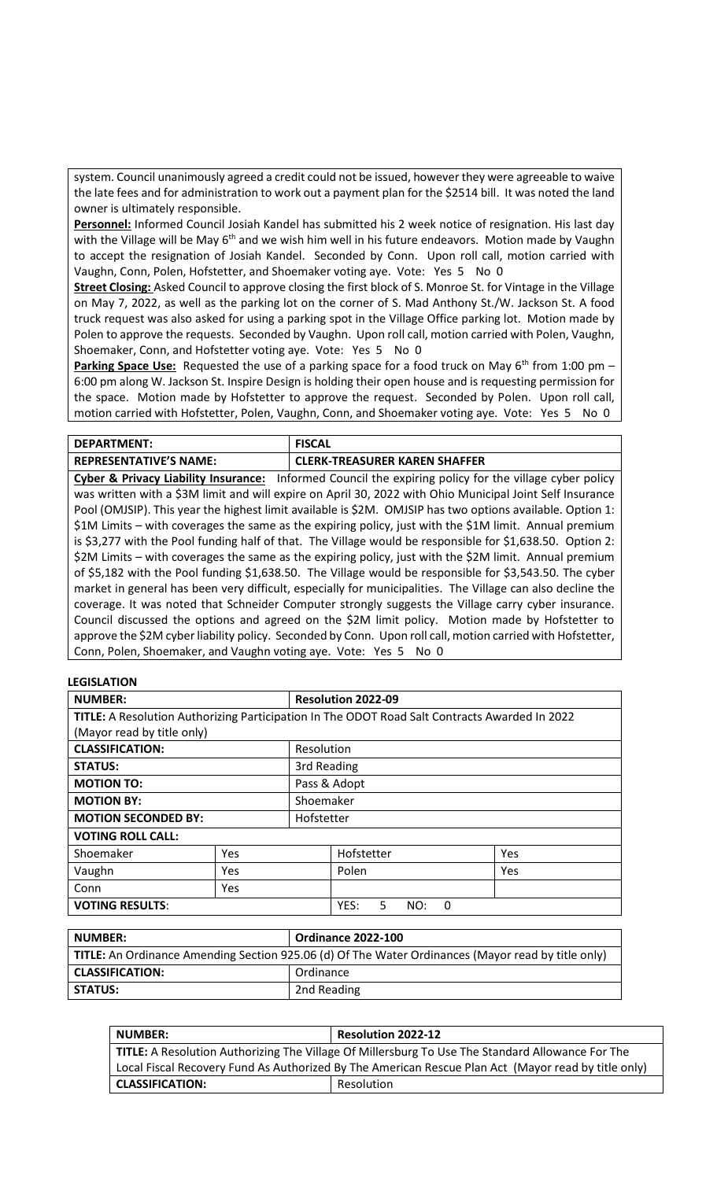system. Council unanimously agreed a credit could not be issued, however they were agreeable to waive the late fees and for administration to work out a payment plan for the \$2514 bill. It was noted the land owner is ultimately responsible.

**Personnel:** Informed Council Josiah Kandel has submitted his 2 week notice of resignation. His last day with the Village will be May 6<sup>th</sup> and we wish him well in his future endeavors. Motion made by Vaughn to accept the resignation of Josiah Kandel. Seconded by Conn. Upon roll call, motion carried with Vaughn, Conn, Polen, Hofstetter, and Shoemaker voting aye. Vote: Yes 5 No 0

**Street Closing:** Asked Council to approve closing the first block of S. Monroe St. for Vintage in the Village on May 7, 2022, as well as the parking lot on the corner of S. Mad Anthony St./W. Jackson St. A food truck request was also asked for using a parking spot in the Village Office parking lot. Motion made by Polen to approve the requests. Seconded by Vaughn. Upon roll call, motion carried with Polen, Vaughn, Shoemaker, Conn, and Hofstetter voting aye. Vote: Yes 5 No 0

**Parking Space Use:** Requested the use of a parking space for a food truck on May 6<sup>th</sup> from 1:00 pm – 6:00 pm along W. Jackson St. Inspire Design is holding their open house and is requesting permission for the space. Motion made by Hofstetter to approve the request. Seconded by Polen. Upon roll call, motion carried with Hofstetter, Polen, Vaughn, Conn, and Shoemaker voting aye. Vote: Yes 5 No 0

| DEPARTMENT:                   | <b>FISCAL</b>                 |
|-------------------------------|-------------------------------|
| <b>REPRESENTATIVE'S NAME:</b> | CLERK-TREASURER KAREN SHAFFER |

**Cyber & Privacy Liability Insurance:** Informed Council the expiring policy for the village cyber policy was written with a \$3M limit and will expire on April 30, 2022 with Ohio Municipal Joint Self Insurance Pool (OMJSIP). This year the highest limit available is \$2M. OMJSIP has two options available. Option 1: \$1M Limits – with coverages the same as the expiring policy, just with the \$1M limit. Annual premium is \$3,277 with the Pool funding half of that. The Village would be responsible for \$1,638.50. Option 2: \$2M Limits – with coverages the same as the expiring policy, just with the \$2M limit. Annual premium of \$5,182 with the Pool funding \$1,638.50. The Village would be responsible for \$3,543.50. The cyber market in general has been very difficult, especially for municipalities. The Village can also decline the coverage. It was noted that Schneider Computer strongly suggests the Village carry cyber insurance. Council discussed the options and agreed on the \$2M limit policy. Motion made by Hofstetter to approve the \$2M cyber liability policy. Seconded by Conn. Upon roll call, motion carried with Hofstetter, Conn, Polen, Shoemaker, and Vaughn voting aye. Vote: Yes 5 No 0

### **LEGISLATION**

| <b>NUMBER:</b>                                                                                |             | <b>Resolution 2022-09</b> |                        |     |
|-----------------------------------------------------------------------------------------------|-------------|---------------------------|------------------------|-----|
| TITLE: A Resolution Authorizing Participation In The ODOT Road Salt Contracts Awarded In 2022 |             |                           |                        |     |
| (Mayor read by title only)                                                                    |             |                           |                        |     |
| <b>CLASSIFICATION:</b><br>Resolution                                                          |             |                           |                        |     |
| <b>STATUS:</b>                                                                                | 3rd Reading |                           |                        |     |
| <b>MOTION TO:</b>                                                                             |             | Pass & Adopt              |                        |     |
| <b>MOTION BY:</b>                                                                             |             | Shoemaker                 |                        |     |
| <b>MOTION SECONDED BY:</b>                                                                    |             | Hofstetter                |                        |     |
| <b>VOTING ROLL CALL:</b>                                                                      |             |                           |                        |     |
| Shoemaker                                                                                     | Yes         |                           | Hofstetter             | Yes |
| Vaughn                                                                                        | Yes.        |                           | Polen                  | Yes |
| Conn                                                                                          | Yes         |                           |                        |     |
| <b>VOTING RESULTS:</b>                                                                        |             |                           | YES:<br>5.<br>NO:<br>0 |     |

| <b>NUMBER:</b>                                                                                     | <b>Ordinance 2022-100</b> |
|----------------------------------------------------------------------------------------------------|---------------------------|
| TITLE: An Ordinance Amending Section 925.06 (d) Of The Water Ordinances (Mayor read by title only) |                           |
| <b>CLASSIFICATION:</b>                                                                             | Ordinance                 |
| <b>STATUS:</b>                                                                                     | 2nd Reading               |

| <b>NUMBER:</b>                                                                                      | <b>Resolution 2022-12</b> |  |
|-----------------------------------------------------------------------------------------------------|---------------------------|--|
| TITLE: A Resolution Authorizing The Village Of Millersburg To Use The Standard Allowance For The    |                           |  |
| Local Fiscal Recovery Fund As Authorized By The American Rescue Plan Act (Mayor read by title only) |                           |  |
| <b>CLASSIFICATION:</b>                                                                              | Resolution                |  |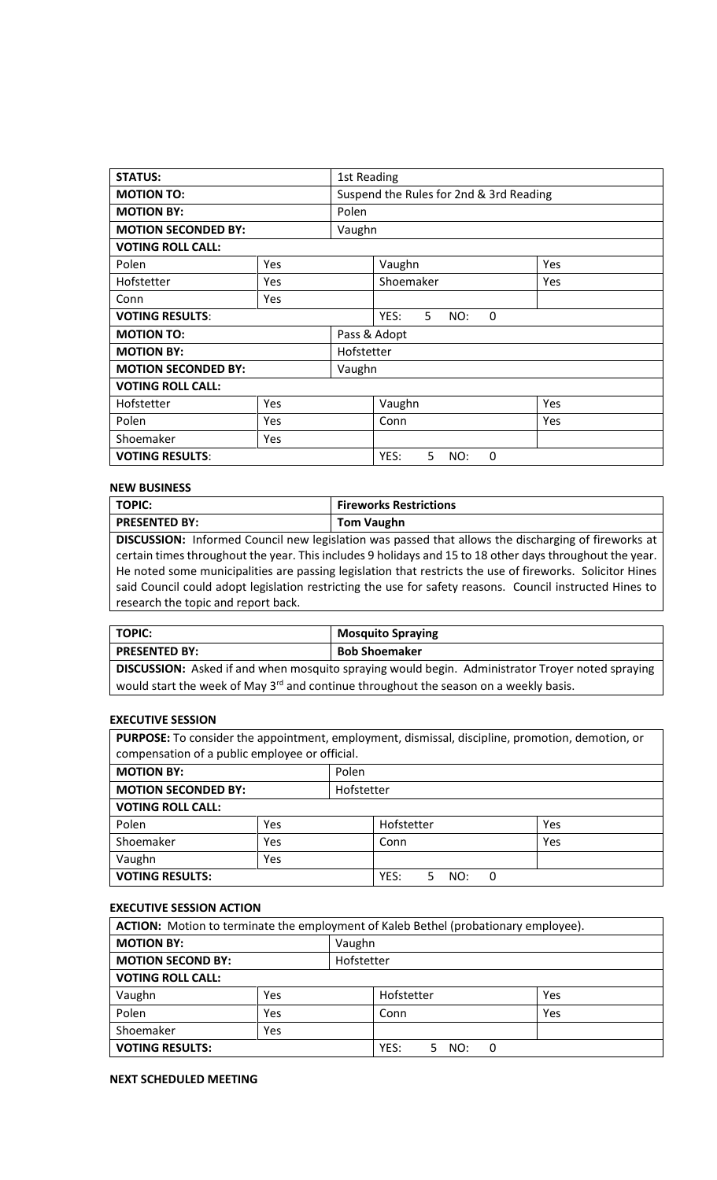| <b>STATUS:</b>                       | 1st Reading |                                  |                                         |            |  |
|--------------------------------------|-------------|----------------------------------|-----------------------------------------|------------|--|
| <b>MOTION TO:</b>                    |             |                                  | Suspend the Rules for 2nd & 3rd Reading |            |  |
| <b>MOTION BY:</b>                    | Polen       |                                  |                                         |            |  |
| <b>MOTION SECONDED BY:</b>           |             | Vaughn                           |                                         |            |  |
| <b>VOTING ROLL CALL:</b>             |             |                                  |                                         |            |  |
| Polen                                | Yes         |                                  | Vaughn                                  | <b>Yes</b> |  |
| Hofstetter                           | Yes         |                                  | Shoemaker                               | Yes        |  |
| Conn                                 | Yes         |                                  |                                         |            |  |
| <b>VOTING RESULTS:</b>               |             | YES:<br>5<br>$\Omega$<br>NO:     |                                         |            |  |
| Pass & Adopt<br><b>MOTION TO:</b>    |             |                                  |                                         |            |  |
| <b>MOTION BY:</b>                    | Hofstetter  |                                  |                                         |            |  |
| <b>MOTION SECONDED BY:</b><br>Vaughn |             |                                  |                                         |            |  |
| <b>VOTING ROLL CALL:</b>             |             |                                  |                                         |            |  |
| Hofstetter                           | Yes         |                                  | Vaughn                                  | <b>Yes</b> |  |
| Polen                                | Yes         |                                  | Conn                                    | Yes        |  |
| Shoemaker                            | Yes         |                                  |                                         |            |  |
| <b>VOTING RESULTS:</b>               |             | YES:<br>5<br>$\mathbf{0}$<br>NO: |                                         |            |  |

# **NEW BUSINESS**

| <b>TOPIC:</b>                                                                                             | <b>Fireworks Restrictions</b> |  |  |  |
|-----------------------------------------------------------------------------------------------------------|-------------------------------|--|--|--|
| <b>PRESENTED BY:</b>                                                                                      | <b>Tom Vaughn</b>             |  |  |  |
| DISCUSSION: Informed Council new legislation was passed that allows the discharging of fireworks at       |                               |  |  |  |
| certain times throughout the year. This includes 9 holidays and 15 to 18 other days throughout the year.  |                               |  |  |  |
| He noted some municipalities are passing legislation that restricts the use of fireworks. Solicitor Hines |                               |  |  |  |
| said Council could adopt legislation restricting the use for safety reasons. Council instructed Hines to  |                               |  |  |  |
| research the topic and report back.                                                                       |                               |  |  |  |

| TOPIC: I                                                                                                | <b>Mosquito Spraying</b> |  |
|---------------------------------------------------------------------------------------------------------|--------------------------|--|
| <b>PRESENTED BY:</b>                                                                                    | <b>Bob Shoemaker</b>     |  |
| <b>DISCUSSION:</b> Asked if and when mosquito spraying would begin. Administrator Troyer noted spraying |                          |  |

would start the week of May 3<sup>rd</sup> and continue throughout the season on a weekly basis.

### **EXECUTIVE SESSION**

**PURPOSE:** To consider the appointment, employment, dismissal, discipline, promotion, demotion, or compensation of a public employee or official.

| <b>MOTION BY:</b>          |     | Polen            |     |  |
|----------------------------|-----|------------------|-----|--|
| <b>MOTION SECONDED BY:</b> |     | Hofstetter       |     |  |
| <b>VOTING ROLL CALL:</b>   |     |                  |     |  |
| Polen                      | Yes | Hofstetter       | Yes |  |
| Shoemaker                  | Yes | Conn             | Yes |  |
| Vaughn                     | Yes |                  |     |  |
| <b>VOTING RESULTS:</b>     |     | YES:<br>NO:<br>0 |     |  |

#### **EXECUTIVE SESSION ACTION**

| ACTION: Motion to terminate the employment of Kaleb Bethel (probationary employee). |            |  |                  |     |  |
|-------------------------------------------------------------------------------------|------------|--|------------------|-----|--|
| <b>MOTION BY:</b>                                                                   | Vaughn     |  |                  |     |  |
| <b>MOTION SECOND BY:</b>                                                            | Hofstetter |  |                  |     |  |
| <b>VOTING ROLL CALL:</b>                                                            |            |  |                  |     |  |
| Vaughn                                                                              | Yes        |  | Hofstetter       | Yes |  |
| Polen                                                                               | Yes        |  | Conn             | Yes |  |
| Shoemaker                                                                           | Yes        |  |                  |     |  |
| <b>VOTING RESULTS:</b>                                                              |            |  | YES:<br>NO:<br>0 |     |  |

# **NEXT SCHEDULED MEETING**